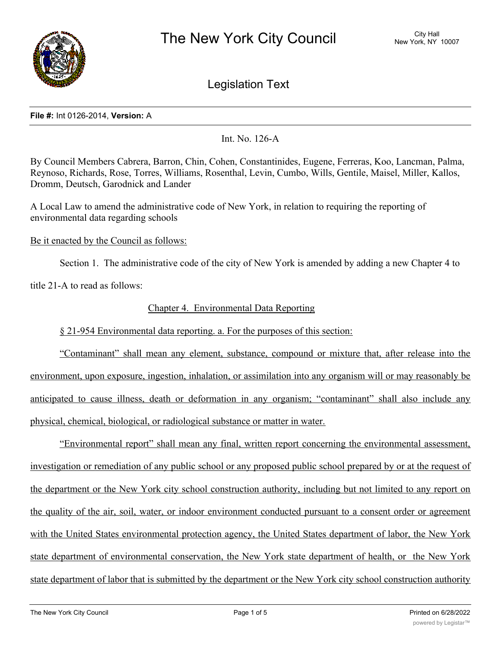

Legislation Text

## **File #:** Int 0126-2014, **Version:** A

Int. No. 126-A

By Council Members Cabrera, Barron, Chin, Cohen, Constantinides, Eugene, Ferreras, Koo, Lancman, Palma, Reynoso, Richards, Rose, Torres, Williams, Rosenthal, Levin, Cumbo, Wills, Gentile, Maisel, Miller, Kallos, Dromm, Deutsch, Garodnick and Lander

A Local Law to amend the administrative code of New York, in relation to requiring the reporting of environmental data regarding schools

Be it enacted by the Council as follows:

Section 1. The administrative code of the city of New York is amended by adding a new Chapter 4 to

title 21-A to read as follows:

# Chapter 4. Environmental Data Reporting

§ 21-954 Environmental data reporting. a. For the purposes of this section:

"Contaminant" shall mean any element, substance, compound or mixture that, after release into the environment, upon exposure, ingestion, inhalation, or assimilation into any organism will or may reasonably be anticipated to cause illness, death or deformation in any organism; "contaminant" shall also include any physical, chemical, biological, or radiological substance or matter in water.

"Environmental report" shall mean any final, written report concerning the environmental assessment, investigation or remediation of any public school or any proposed public school prepared by or at the request of the department or the New York city school construction authority, including but not limited to any report on the quality of the air, soil, water, or indoor environment conducted pursuant to a consent order or agreement with the United States environmental protection agency, the United States department of labor, the New York state department of environmental conservation, the New York state department of health, or the New York state department of labor that is submitted by the department or the New York city school construction authority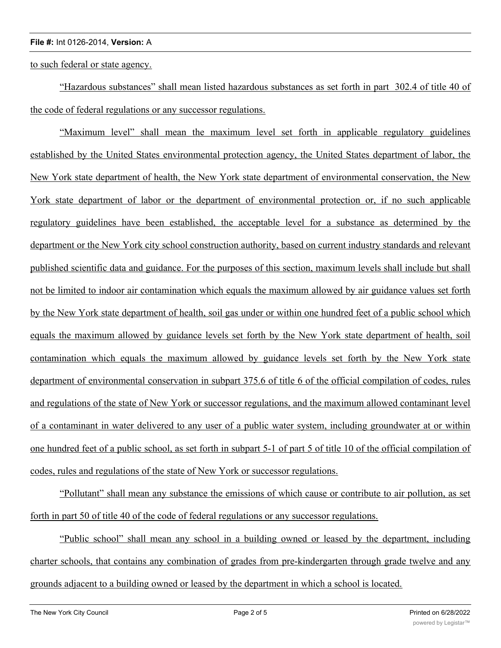to such federal or state agency.

"Hazardous substances" shall mean listed hazardous substances as set forth in part 302.4 of title 40 of the code of federal regulations or any successor regulations.

"Maximum level" shall mean the maximum level set forth in applicable regulatory guidelines established by the United States environmental protection agency, the United States department of labor, the New York state department of health, the New York state department of environmental conservation, the New York state department of labor or the department of environmental protection or, if no such applicable regulatory guidelines have been established, the acceptable level for a substance as determined by the department or the New York city school construction authority, based on current industry standards and relevant published scientific data and guidance. For the purposes of this section, maximum levels shall include but shall not be limited to indoor air contamination which equals the maximum allowed by air guidance values set forth by the New York state department of health, soil gas under or within one hundred feet of a public school which equals the maximum allowed by guidance levels set forth by the New York state department of health, soil contamination which equals the maximum allowed by guidance levels set forth by the New York state department of environmental conservation in subpart 375.6 of title 6 of the official compilation of codes, rules and regulations of the state of New York or successor regulations, and the maximum allowed contaminant level of a contaminant in water delivered to any user of a public water system, including groundwater at or within one hundred feet of a public school, as set forth in subpart 5-1 of part 5 of title 10 of the official compilation of codes, rules and regulations of the state of New York or successor regulations.

"Pollutant" shall mean any substance the emissions of which cause or contribute to air pollution, as set forth in part 50 of title 40 of the code of federal regulations or any successor regulations.

"Public school" shall mean any school in a building owned or leased by the department, including charter schools, that contains any combination of grades from pre-kindergarten through grade twelve and any grounds adjacent to a building owned or leased by the department in which a school is located.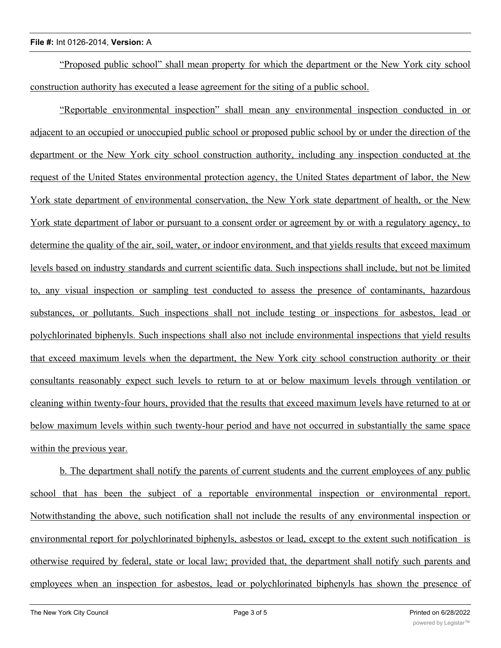"Proposed public school" shall mean property for which the department or the New York city school construction authority has executed a lease agreement for the siting of a public school.

"Reportable environmental inspection" shall mean any environmental inspection conducted in or adjacent to an occupied or unoccupied public school or proposed public school by or under the direction of the department or the New York city school construction authority, including any inspection conducted at the request of the United States environmental protection agency, the United States department of labor, the New York state department of environmental conservation, the New York state department of health, or the New York state department of labor or pursuant to a consent order or agreement by or with a regulatory agency, to determine the quality of the air, soil, water, or indoor environment, and that yields results that exceed maximum levels based on industry standards and current scientific data. Such inspections shall include, but not be limited to, any visual inspection or sampling test conducted to assess the presence of contaminants, hazardous substances, or pollutants. Such inspections shall not include testing or inspections for asbestos, lead or polychlorinated biphenyls. Such inspections shall also not include environmental inspections that yield results that exceed maximum levels when the department, the New York city school construction authority or their consultants reasonably expect such levels to return to at or below maximum levels through ventilation or cleaning within twenty-four hours, provided that the results that exceed maximum levels have returned to at or below maximum levels within such twenty-hour period and have not occurred in substantially the same space within the previous year.

b. The department shall notify the parents of current students and the current employees of any public school that has been the subject of a reportable environmental inspection or environmental report. Notwithstanding the above, such notification shall not include the results of any environmental inspection or environmental report for polychlorinated biphenyls, asbestos or lead, except to the extent such notification is otherwise required by federal, state or local law; provided that, the department shall notify such parents and employees when an inspection for asbestos, lead or polychlorinated biphenyls has shown the presence of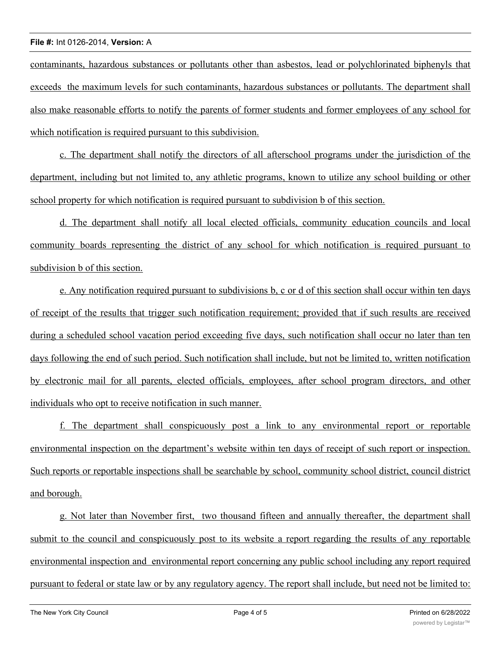contaminants, hazardous substances or pollutants other than asbestos, lead or polychlorinated biphenyls that exceeds the maximum levels for such contaminants, hazardous substances or pollutants. The department shall also make reasonable efforts to notify the parents of former students and former employees of any school for which notification is required pursuant to this subdivision.

c. The department shall notify the directors of all afterschool programs under the jurisdiction of the department, including but not limited to, any athletic programs, known to utilize any school building or other school property for which notification is required pursuant to subdivision b of this section.

d. The department shall notify all local elected officials, community education councils and local community boards representing the district of any school for which notification is required pursuant to subdivision b of this section.

e. Any notification required pursuant to subdivisions b, c or d of this section shall occur within ten days of receipt of the results that trigger such notification requirement; provided that if such results are received during a scheduled school vacation period exceeding five days, such notification shall occur no later than ten days following the end of such period. Such notification shall include, but not be limited to, written notification by electronic mail for all parents, elected officials, employees, after school program directors, and other individuals who opt to receive notification in such manner.

f. The department shall conspicuously post a link to any environmental report or reportable environmental inspection on the department's website within ten days of receipt of such report or inspection. Such reports or reportable inspections shall be searchable by school, community school district, council district and borough.

g. Not later than November first, two thousand fifteen and annually thereafter, the department shall submit to the council and conspicuously post to its website a report regarding the results of any reportable environmental inspection and environmental report concerning any public school including any report required pursuant to federal or state law or by any regulatory agency. The report shall include, but need not be limited to: